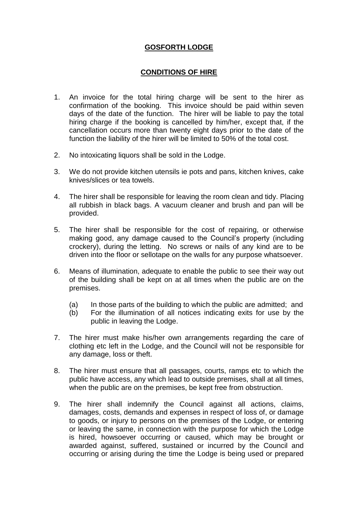## **GOSFORTH LODGE**

## **CONDITIONS OF HIRE**

- 1. An invoice for the total hiring charge will be sent to the hirer as confirmation of the booking. This invoice should be paid within seven days of the date of the function. The hirer will be liable to pay the total hiring charge if the booking is cancelled by him/her, except that, if the cancellation occurs more than twenty eight days prior to the date of the function the liability of the hirer will be limited to 50% of the total cost.
- 2. No intoxicating liquors shall be sold in the Lodge.
- 3. We do not provide kitchen utensils ie pots and pans, kitchen knives, cake knives/slices or tea towels.
- 4. The hirer shall be responsible for leaving the room clean and tidy. Placing all rubbish in black bags. A vacuum cleaner and brush and pan will be provided.
- 5. The hirer shall be responsible for the cost of repairing, or otherwise making good, any damage caused to the Council's property (including crockery), during the letting. No screws or nails of any kind are to be driven into the floor or sellotape on the walls for any purpose whatsoever.
- 6. Means of illumination, adequate to enable the public to see their way out of the building shall be kept on at all times when the public are on the premises.
	- (a) In those parts of the building to which the public are admitted; and
	- (b) For the illumination of all notices indicating exits for use by the public in leaving the Lodge.
- 7. The hirer must make his/her own arrangements regarding the care of clothing etc left in the Lodge, and the Council will not be responsible for any damage, loss or theft.
- 8. The hirer must ensure that all passages, courts, ramps etc to which the public have access, any which lead to outside premises, shall at all times, when the public are on the premises, be kept free from obstruction.
- 9. The hirer shall indemnify the Council against all actions, claims, damages, costs, demands and expenses in respect of loss of, or damage to goods, or injury to persons on the premises of the Lodge, or entering or leaving the same, in connection with the purpose for which the Lodge is hired, howsoever occurring or caused, which may be brought or awarded against, suffered, sustained or incurred by the Council and occurring or arising during the time the Lodge is being used or prepared